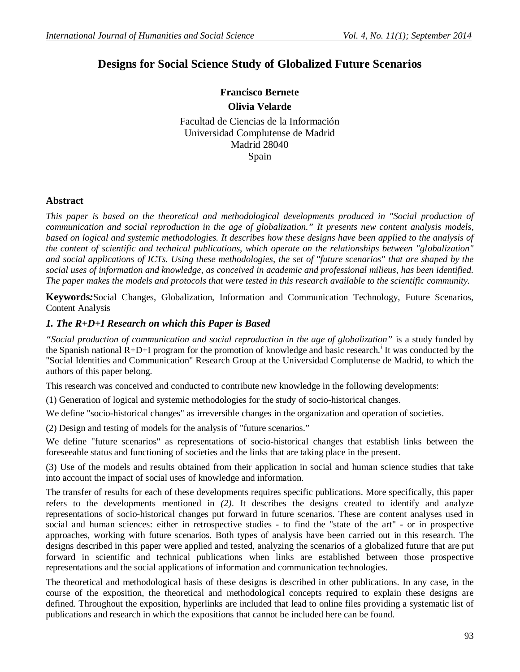# **Designs for Social Science Study of Globalized Future Scenarios**

**Francisco Bernete Olivia Velarde**

Facultad de Ciencias de la Información Universidad Complutense de Madrid Madrid 28040 Spain

## **Abstract**

*This paper is based on the theoretical and methodological developments produced in "Social production of communication and social reproduction in the age of globalization." It presents new content analysis models, based on logical and systemic methodologies. It describes how these designs have been applied to the analysis of the content of scientific and technical publications, which operate on the relationships between "globalization" and social applications of ICTs. Using these methodologies, the set of "future scenarios" that are shaped by the social uses of information and knowledge, as conceived in academic and professional milieus, has been identified. The paper makes the models and protocols that were tested in this research available to the scientific community.* 

**Keywords***:*Social Changes, Globalization, Information and Communication Technology, Future Scenarios, Content Analysis

## *1. The R+D+I Research on which this Paper is Based*

*"Social production of communication and social reproduction in the age of globalization"* is a study funded by the Spanish national  $R+D+I$  program for the promotion of knowledge and basic research.<sup>i</sup> It was conducted by the "Social Identities and Communication" Research Group at the Universidad Complutense de Madrid, to which the authors of this paper belong.

This research was conceived and conducted to contribute new knowledge in the following developments:

(1) Generation of logical and systemic methodologies for the study of socio-historical changes.

We define "socio-historical changes" as irreversible changes in the organization and operation of societies.

(2) Design and testing of models for the analysis of "future scenarios."

We define "future scenarios" as representations of socio-historical changes that establish links between the foreseeable status and functioning of societies and the links that are taking place in the present.

(3) Use of the models and results obtained from their application in social and human science studies that take into account the impact of social uses of knowledge and information.

The transfer of results for each of these developments requires specific publications. More specifically, this paper refers to the developments mentioned in *(2)*. It describes the designs created to identify and analyze representations of socio-historical changes put forward in future scenarios. These are content analyses used in social and human sciences: either in retrospective studies - to find the "state of the art" - or in prospective approaches, working with future scenarios. Both types of analysis have been carried out in this research. The designs described in this paper were applied and tested, analyzing the scenarios of a globalized future that are put forward in scientific and technical publications when links are established between those prospective representations and the social applications of information and communication technologies.

The theoretical and methodological basis of these designs is described in other publications. In any case, in the course of the exposition, the theoretical and methodological concepts required to explain these designs are defined. Throughout the exposition, hyperlinks are included that lead to online files providing a systematic list of publications and research in which the expositions that cannot be included here can be found.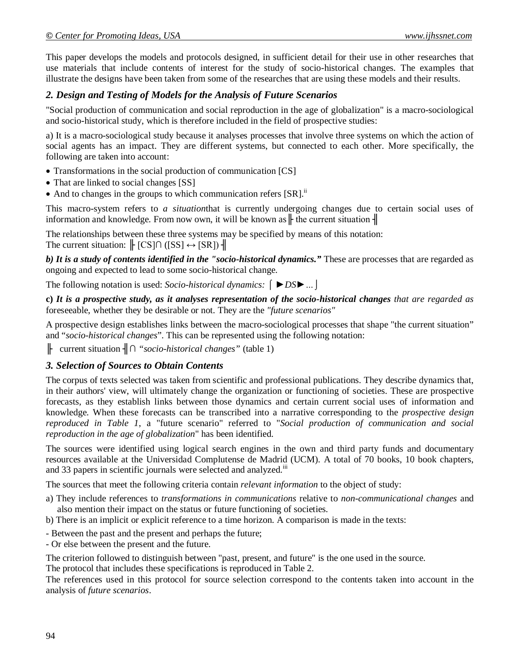This paper develops the models and protocols designed, in sufficient detail for their use in other researches that use materials that include contents of interest for the study of socio-historical changes. The examples that illustrate the designs have been taken from some of the researches that are using these models and their results.

## *2. Design and Testing of Models for the Analysis of Future Scenarios*

"Social production of communication and social reproduction in the age of globalization" is a macro-sociological and socio-historical study, which is therefore included in the field of prospective studies:

a) It is a macro-sociological study because it analyses processes that involve three systems on which the action of social agents has an impact. They are different systems, but connected to each other. More specifically, the following are taken into account:

- Transformations in the social production of communication [CS]
- That are linked to social changes [SS]
- And to changes in the groups to which communication refers  $[SR]$ .<sup>ii</sup>

This macro-system refers to *a situation*that is currently undergoing changes due to certain social uses of information and knowledge. From now own, it will be known as  $\|$  the current situation  $\|$ 

The relationships between these three systems may be specified by means of this notation: The current situation:  $\parallel$  [CS] $\cap$  ([SS]  $\leftrightarrow$  [SR])  $\parallel$ 

*b) It is a study of contents identified in the "socio-historical dynamics."* These are processes that are regarded as ongoing and expected to lead to some socio-historical change.

The following notation is used: *Socio-historical dynamics: ⌠ ►DS►…⌡*

**c)** *It is a prospective study, as it analyses representation of the socio-historical changes that are regarded as*  foreseeable, whether they be desirable or not. They are the *"future scenarios"*

A prospective design establishes links between the macro-sociological processes that shape "the current situation" and "*socio-historical changes*". This can be represented using the following notation:

╟ current situation ╢**∩** *"socio-historical changes"* (table 1)

### *3. Selection of Sources to Obtain Contents*

The corpus of texts selected was taken from scientific and professional publications. They describe dynamics that, in their authors' view, will ultimately change the organization or functioning of societies. These are prospective forecasts, as they establish links between those dynamics and certain current social uses of information and knowledge. When these forecasts can be transcribed into a narrative corresponding to the *prospective design reproduced in Table 1*, a "future scenario" referred to "*Social production of communication and social reproduction in the age of globalization*" has been identified.

The sources were identified using logical search engines in the own and third party funds and documentary resources available at the Universidad Complutense de Madrid (UCM). A total of 70 books, 10 book chapters, and 33 papers in scientific journals were selected and analyzed.<sup>111</sup>

The sources that meet the following criteria contain *relevant information* to the object of study:

- a) They include references to *transformations in communications* relative to *non-communicational changes* and also mention their impact on the status or future functioning of societies.
- b) There is an implicit or explicit reference to a time horizon. A comparison is made in the texts:
- Between the past and the present and perhaps the future;
- Or else between the present and the future.

The criterion followed to distinguish between "past, present, and future" is the one used in the source.

The protocol that includes these specifications is reproduced in Table 2.

The references used in this protocol for source selection correspond to the contents taken into account in the analysis of *future scenarios*.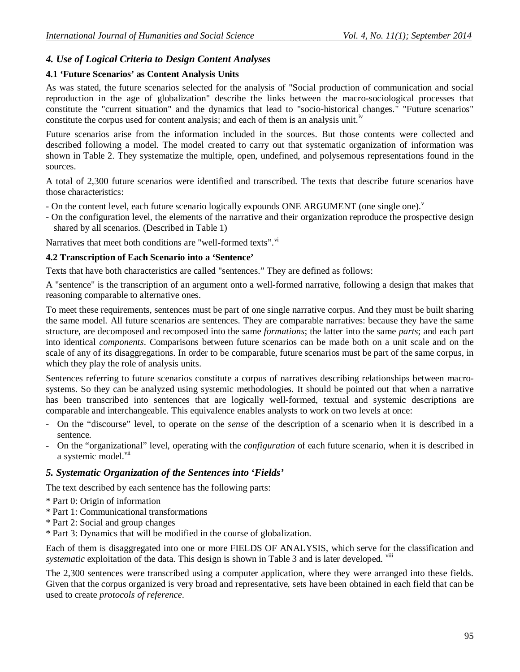## *4. Use of Logical Criteria to Design Content Analyses*

### **4.1 'Future Scenarios' as Content Analysis Units**

As was stated, the future scenarios selected for the analysis of "Social production of communication and social reproduction in the age of globalization" describe the links between the macro-sociological processes that constitute the "current situation" and the dynamics that lead to "socio-historical changes." "Future scenarios" constitute the corpus used for content analysis; and each of them is an analysis unit.<sup>iv</sup>

Future scenarios arise from the information included in the sources. But those contents were collected and described following a model. The model created to carry out that systematic organization of information was shown in Table 2. They systematize the multiple, open, undefined, and polysemous representations found in the sources.

A total of 2,300 future scenarios were identified and transcribed. The texts that describe future scenarios have those characteristics:

- On the content level, each future scenario logically expounds ONE ARGUMENT (one single one).
- On the configuration level, the elements of the narrative and their organization reproduce the prospective design shared by all scenarios. (Described in Table 1)

Narratives that meet both conditions are "well-formed texts". V

### **4.2 Transcription of Each Scenario into a 'Sentence'**

Texts that have both characteristics are called "sentences." They are defined as follows:

A "sentence" is the transcription of an argument onto a well-formed narrative, following a design that makes that reasoning comparable to alternative ones.

To meet these requirements, sentences must be part of one single narrative corpus. And they must be built sharing the same model. All future scenarios are sentences. They are comparable narratives: because they have the same structure, are decomposed and recomposed into the same *formations*; the latter into the same *parts*; and each part into identical *components*. Comparisons between future scenarios can be made both on a unit scale and on the scale of any of its disaggregations. In order to be comparable, future scenarios must be part of the same corpus, in which they play the role of analysis units.

Sentences referring to future scenarios constitute a corpus of narratives describing relationships between macrosystems. So they can be analyzed using systemic methodologies. It should be pointed out that when a narrative has been transcribed into sentences that are logically well-formed, textual and systemic descriptions are comparable and interchangeable. This equivalence enables analysts to work on two levels at once:

- On the "discourse" level, to operate on the *sense* of the description of a scenario when it is described in a sentence.
- On the "organizational" level, operating with the *configuration* of each future scenario, when it is described in a systemic model.<sup>vii</sup>

### *5. Systematic Organization of the Sentences into 'Fields'*

The text described by each sentence has the following parts:

- \* Part 0: Origin of information
- \* Part 1: Communicational transformations
- \* Part 2: Social and group changes
- \* Part 3: Dynamics that will be modified in the course of globalization.

Each of them is disaggregated into one or more FIELDS OF ANALYSIS, which serve for the classification and *systematic* exploitation of the data. This design is shown in Table 3 and is later developed. <sup>viii</sup>

The 2,300 sentences were transcribed using a computer application, where they were arranged into these fields. Given that the corpus organized is very broad and representative, sets have been obtained in each field that can be used to create *protocols of reference*.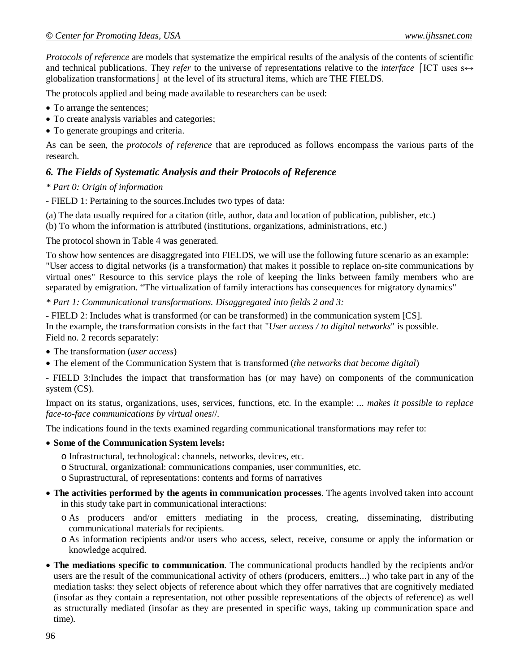*Protocols of reference* are models that systematize the empirical results of the analysis of the contents of scientific and technical publications. They *refer* to the universe of representations relative to the *interface*  $\left[$ ICT uses s $\leftrightarrow$ globalization transformations  $\vert$  at the level of its structural items, which are THE FIELDS.

The protocols applied and being made available to researchers can be used:

- To arrange the sentences;
- To create analysis variables and categories;
- To generate groupings and criteria.

As can be seen, the *protocols of reference* that are reproduced as follows encompass the various parts of the research.

## *6. The Fields of Systematic Analysis and their Protocols of Reference*

#### *\* Part 0: Origin of information*

- FIELD 1: Pertaining to the sources.Includes two types of data:

(a) The data usually required for a citation (title, author, data and location of publication, publisher, etc.) (b) To whom the information is attributed (institutions, organizations, administrations, etc.)

The protocol shown in Table 4 was generated.

To show how sentences are disaggregated into FIELDS, we will use the following future scenario as an example: "User access to digital networks (is a transformation) that makes it possible to replace on-site communications by virtual ones" Resource to this service plays the role of keeping the links between family members who are separated by emigration. "The virtualization of family interactions has consequences for migratory dynamics"

*\* Part 1: Communicational transformations. Disaggregated into fields 2 and 3:*

- FIELD 2: Includes what is transformed (or can be transformed) in the communication system [CS]. In the example, the transformation consists in the fact that "*User access / to digital networks*" is possible. Field no. 2 records separately:

- The transformation (*user access*)
- The element of the Communication System that is transformed (*the networks that become digital*)

- FIELD 3:Includes the impact that transformation has (or may have) on components of the communication system (CS).

Impact on its status, organizations, uses, services, functions, etc. In the example: ... *makes it possible to replace face-to-face communications by virtual ones*//.

The indications found in the texts examined regarding communicational transformations may refer to:

#### **Some of the Communication System levels:**

- o Infrastructural, technological: channels, networks, devices, etc.
- o Structural, organizational: communications companies, user communities, etc.
- o Suprastructural, of representations: contents and forms of narratives
- **The activities performed by the agents in communication processes**. The agents involved taken into account in this study take part in communicational interactions:
	- o As producers and/or emitters mediating in the process, creating, disseminating, distributing communicational materials for recipients.
	- o As information recipients and/or users who access, select, receive, consume or apply the information or knowledge acquired.
- **The mediations specific to communication**. The communicational products handled by the recipients and/or users are the result of the communicational activity of others (producers, emitters...) who take part in any of the mediation tasks: they select objects of reference about which they offer narratives that are cognitively mediated (insofar as they contain a representation, not other possible representations of the objects of reference) as well as structurally mediated (insofar as they are presented in specific ways, taking up communication space and time).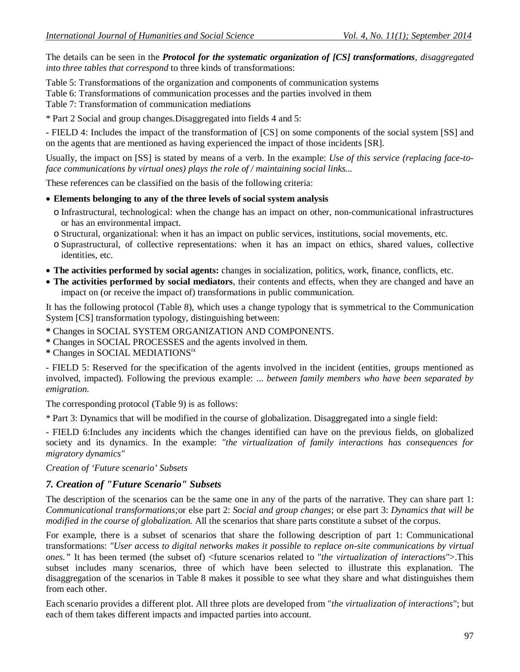The details can be seen in the *Protocol for the systematic organization of [CS] transformations, disaggregated into three tables that correspond* to three kinds of transformations:

Table 5: Transformations of the organization and components of communication systems

Table 6: Transformations of communication processes and the parties involved in them

Table 7: Transformation of communication mediations

\* Part 2 Social and group changes.Disaggregated into fields 4 and 5:

- FIELD 4: Includes the impact of the transformation of [CS] on some components of the social system [SS] and on the agents that are mentioned as having experienced the impact of those incidents [SR].

Usually, the impact on [SS] is stated by means of a verb. In the example: *Use of this service (replacing face-toface communications by virtual ones) plays the role of / maintaining social links...*

These references can be classified on the basis of the following criteria:

#### **Elements belonging to any of the three levels of social system analysis**

- o Infrastructural, technological: when the change has an impact on other, non-communicational infrastructures or has an environmental impact.
- o Structural, organizational: when it has an impact on public services, institutions, social movements, etc.
- o Suprastructural, of collective representations: when it has an impact on ethics, shared values, collective identities, etc.
- **The activities performed by social agents:** changes in socialization, politics, work, finance, conflicts, etc.
- **The activities performed by social mediators**, their contents and effects, when they are changed and have an impact on (or receive the impact of) transformations in public communication.

It has the following protocol (Table 8), which uses a change typology that is symmetrical to the Communication System [CS] transformation typology, distinguishing between:

**\*** Changes in SOCIAL SYSTEM ORGANIZATION AND COMPONENTS.

**\*** Changes in SOCIAL PROCESSES and the agents involved in them.

**\*** Changes in SOCIAL MEDIATIONSix

- FIELD 5: Reserved for the specification of the agents involved in the incident (entities, groups mentioned as involved, impacted). Following the previous example: ... *between family members who have been separated by emigration.*

The corresponding protocol (Table 9) is as follows:

\* Part 3: Dynamics that will be modified in the course of globalization. Disaggregated into a single field:

- FIELD 6:Includes any incidents which the changes identified can have on the previous fields, on globalized society and its dynamics. In the example: *"the virtualization of family interactions has consequences for migratory dynamics"* 

*Creation of 'Future scenario' Subsets* 

### *7. Creation of "Future Scenario" Subsets*

The description of the scenarios can be the same one in any of the parts of the narrative. They can share part 1: *Communicational transformations;*or else part 2: *Social and group changes*; or else part 3: *Dynamics that will be modified in the course of globalization.* All the scenarios that share parts constitute a subset of the corpus.

For example, there is a subset of scenarios that share the following description of part 1: Communicational transformations: *"User access to digital networks makes it possible to replace on-site communications by virtual ones."* It has been termed (the subset of) <future scenarios related to "*the virtualization of interactions*">.This subset includes many scenarios, three of which have been selected to illustrate this explanation. The disaggregation of the scenarios in Table 8 makes it possible to see what they share and what distinguishes them from each other.

Each scenario provides a different plot. All three plots are developed from "*the virtualization of interactions*"; but each of them takes different impacts and impacted parties into account.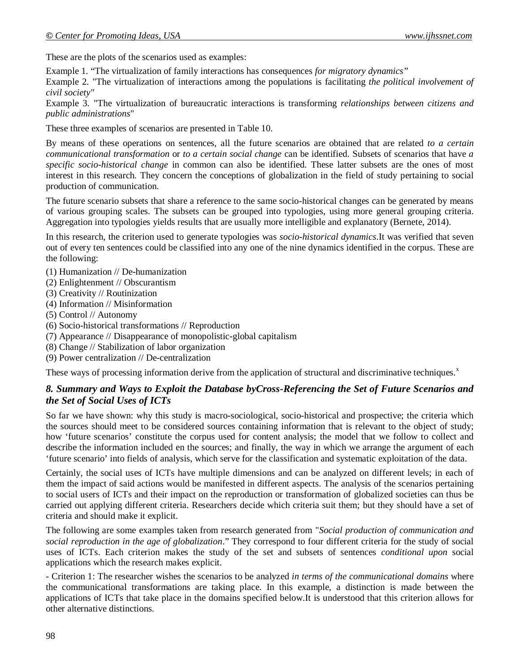These are the plots of the scenarios used as examples:

Example 1*.* "The virtualization of family interactions has consequences *for migratory dynamics"*

Example 2*.* "The virtualization of interactions among the populations is facilitating *the political involvement of civil society"*

Example 3*.* "The virtualization of bureaucratic interactions is transforming *relationships between citizens and public administrations*"

These three examples of scenarios are presented in Table 10.

By means of these operations on sentences, all the future scenarios are obtained that are related *to a certain communicational transformation* or *to a certain social change* can be identified. Subsets of scenarios that have *a specific socio-historical change* in common can also be identified. These latter subsets are the ones of most interest in this research. They concern the conceptions of globalization in the field of study pertaining to social production of communication.

The future scenario subsets that share a reference to the same socio-historical changes can be generated by means of various grouping scales. The subsets can be grouped into typologies, using more general grouping criteria. Aggregation into typologies yields results that are usually more intelligible and explanatory (Bernete, 2014).

In this research, the criterion used to generate typologies was *socio-historical dynamics*.It was verified that seven out of every ten sentences could be classified into any one of the nine dynamics identified in the corpus. These are the following:

- (1) Humanization // De-humanization
- (2) Enlightenment // Obscurantism
- (3) Creativity // Routinization
- (4) Information // Misinformation
- (5) Control // Autonomy
- (6) Socio-historical transformations // Reproduction
- (7) Appearance // Disappearance of monopolistic-global capitalism
- (8) Change // Stabilization of labor organization
- (9) Power centralization // De-centralization

These ways of processing information derive from the application of structural and discriminative techniques.<sup>x</sup>

## *8. Summary and Ways to Exploit the Database byCross-Referencing the Set of Future Scenarios and the Set of Social Uses of ICTs*

So far we have shown: why this study is macro-sociological, socio-historical and prospective; the criteria which the sources should meet to be considered sources containing information that is relevant to the object of study; how 'future scenarios' constitute the corpus used for content analysis; the model that we follow to collect and describe the information included en the sources; and finally, the way in which we arrange the argument of each 'future scenario' into fields of analysis, which serve for the classification and systematic exploitation of the data.

Certainly, the social uses of ICTs have multiple dimensions and can be analyzed on different levels; in each of them the impact of said actions would be manifested in different aspects. The analysis of the scenarios pertaining to social users of ICTs and their impact on the reproduction or transformation of globalized societies can thus be carried out applying different criteria. Researchers decide which criteria suit them; but they should have a set of criteria and should make it explicit.

The following are some examples taken from research generated from "*Social production of communication and social reproduction in the age of globalization*." They correspond to four different criteria for the study of social uses of ICTs. Each criterion makes the study of the set and subsets of sentences *conditional upon* social applications which the research makes explicit.

- Criterion 1: The researcher wishes the scenarios to be analyzed *in terms of the communicational domains* where the communicational transformations are taking place. In this example, a distinction is made between the applications of ICTs that take place in the domains specified below.It is understood that this criterion allows for other alternative distinctions.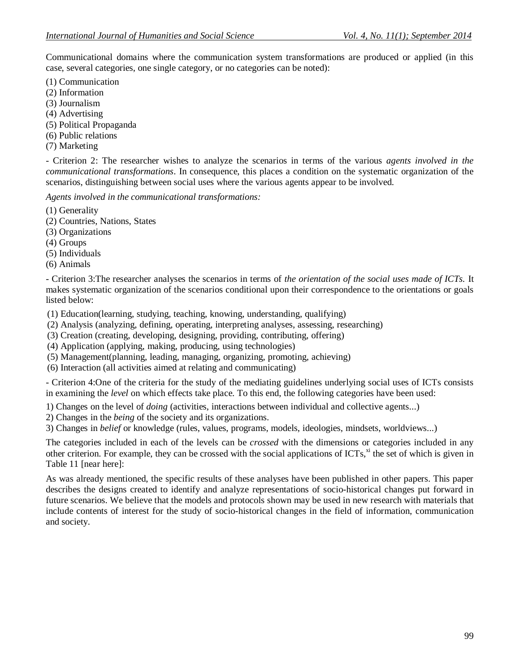Communicational domains where the communication system transformations are produced or applied (in this case, several categories, one single category, or no categories can be noted):

- (1) Communication
- (2) Information
- (3) Journalism
- (4) Advertising
- (5) Political Propaganda
- (6) Public relations
- (7) Marketing

- Criterion 2: The researcher wishes to analyze the scenarios in terms of the various *agents involved in the communicational transformations*. In consequence, this places a condition on the systematic organization of the scenarios, distinguishing between social uses where the various agents appear to be involved.

*Agents involved in the communicational transformations:*

- (1) Generality
- (2) Countries, Nations, States
- (3) Organizations
- (4) Groups
- (5) Individuals
- (6) Animals

- Criterion 3:The researcher analyses the scenarios in terms of *the orientation of the social uses made of ICTs.* It makes systematic organization of the scenarios conditional upon their correspondence to the orientations or goals listed below:

(1) Education(learning, studying, teaching, knowing, understanding, qualifying)

- (2) Analysis (analyzing, defining, operating, interpreting analyses, assessing, researching)
- (3) Creation (creating, developing, designing, providing, contributing, offering)
- (4) Application (applying, making, producing, using technologies)
- (5) Management(planning, leading, managing, organizing, promoting, achieving)
- (6) Interaction (all activities aimed at relating and communicating)

- Criterion 4:One of the criteria for the study of the mediating guidelines underlying social uses of ICTs consists in examining the *level* on which effects take place. To this end, the following categories have been used:

- 1) Changes on the level of *doing* (activities, interactions between individual and collective agents...)
- 2) Changes in the *being* of the society and its organizations.

3) Changes in *belief* or knowledge (rules, values, programs, models, ideologies, mindsets, worldviews...)

The categories included in each of the levels can be *crossed* with the dimensions or categories included in any other criterion. For example, they can be crossed with the social applications of ICTs, $x^{i}$  the set of which is given in Table 11 [near here]:

As was already mentioned, the specific results of these analyses have been published in other papers. This paper describes the designs created to identify and analyze representations of socio-historical changes put forward in future scenarios. We believe that the models and protocols shown may be used in new research with materials that include contents of interest for the study of socio-historical changes in the field of information, communication and society.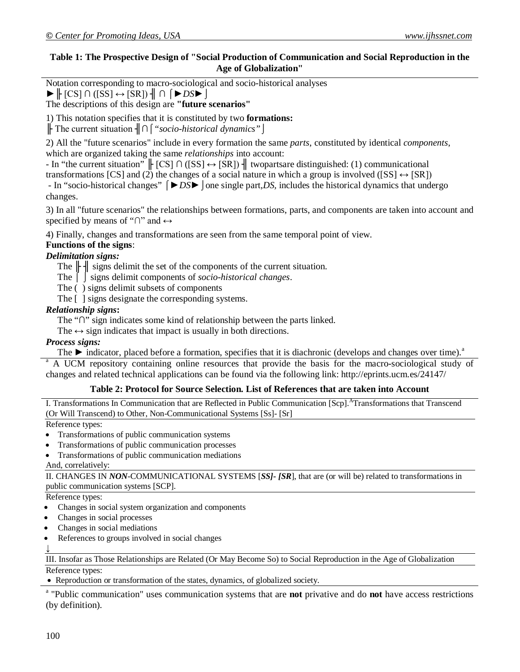### **Table 1: The Prospective Design of "Social Production of Communication and Social Reproduction in the Age of Globalization"**

Notation corresponding to macro-sociological and socio-historical analyses

 $\blacktriangleright$   $\parallel$  [CS]  $\cap$  ([SS]  $\leftrightarrow$  [SR])  $\parallel$   $\cap$   $\parallel$   $\blacktriangleright$  *DS* $\blacktriangleright$   $\parallel$ 

The descriptions of this design are **"future scenarios"**

1) This notation specifies that it is constituted by two **formations:**

╟ The current situation ╢**∩**⌠*"socio-historical dynamics"⌡*

2) All the "future scenarios" include in every formation the same *parts*, constituted by identical *components*, which are organized taking the same *relationships* into account:

- In "the current situation" ╟ [CS] **∩** ([SS] ↔ [SR]) ╢ twopartsare distinguished: (1) communicational transformations [CS] and (2) the changes of a social nature in which a group is involved ([SS]  $\leftrightarrow$  [SR]) - In "socio-historical changes" ⌠*►DS►⌡*one single part,*DS,* includes the historical dynamics that undergo changes.

3) In all "future scenarios" the relationships between formations, parts, and components are taken into account and specified by means of "∩" and  $\leftrightarrow$ 

4) Finally, changes and transformations are seen from the same temporal point of view.

#### **Functions of the signs**:

#### *Delimitation signs:*

The  $\|\cdot\|$  signs delimit the set of the components of the current situation.

The ⌠ *⌡* signs delimit components of *socio-historical changes*.

- The ( ) signs delimit subsets of components
- The [ ] signs designate the corresponding systems.

#### *Relationship signs***:**

The "**∩**" sign indicates some kind of relationship between the parts linked.

The  $\leftrightarrow$  sign indicates that impact is usually in both directions.

#### *Process signs:*

The  $\blacktriangleright$  indicator, placed before a formation, specifies that it is diachronic (develops and changes over time).<sup>a</sup>

<sup>a</sup> A UCM repository containing online resources that provide the basis for the macro-sociological study of changes and related technical applications can be found via the following link: http://eprints.ucm.es/24147/

#### **Table 2: Protocol for Source Selection. List of References that are taken into Account**

I. Transformations In Communication that are Reflected in Public Communication [Scp].<sup>A</sup>Transformations that Transcend (Or Will Transcend) to Other, Non-Communicational Systems [Ss]- [Sr]

Reference types:

- Transformations of public communication systems
- Transformations of public communication processes
- Transformations of public communication mediations

And, correlatively:

II. CHANGES IN *NON*-COMMUNICATIONAL SYSTEMS [*SS]- [SR*], that are (or will be) related to transformations in public communication systems [SCP].

Reference types:

- Changes in social system organization and components
- Changes in social processes
- Changes in social mediations
- References to groups involved in social changes

↓

III. Insofar as Those Relationships are Related (Or May Become So) to Social Reproduction in the Age of Globalization

Reference types:

Reproduction or transformation of the states, dynamics, of globalized society.

a "Public communication" uses communication systems that are **not** privative and do **not** have access restrictions (by definition).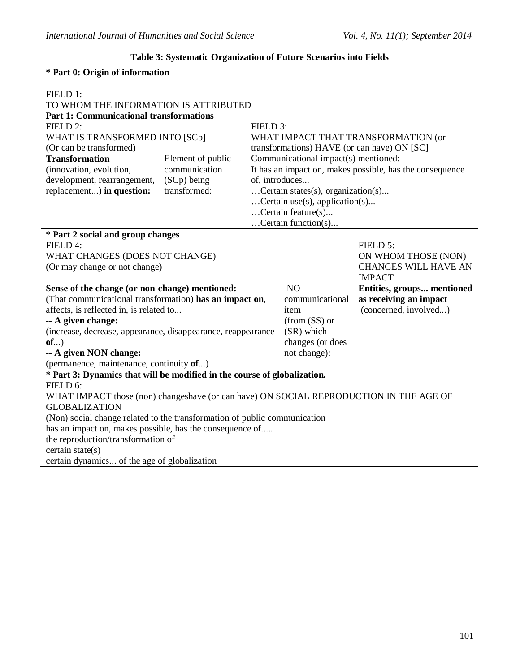## **Table 3: Systematic Organization of Future Scenarios into Fields**

## **\* Part 0: Origin of information**

| FIELD 1:                                                                                                             |                                                           |                                  |                                    |                                                          |  |
|----------------------------------------------------------------------------------------------------------------------|-----------------------------------------------------------|----------------------------------|------------------------------------|----------------------------------------------------------|--|
| TO WHOM THE INFORMATION IS ATTRIBUTED                                                                                |                                                           |                                  |                                    |                                                          |  |
| <b>Part 1: Communicational transformations</b>                                                                       |                                                           |                                  |                                    |                                                          |  |
| FIELD 2:                                                                                                             |                                                           | FIELD 3:                         |                                    |                                                          |  |
| WHAT IS TRANSFORMED INTO [SCp]                                                                                       |                                                           |                                  |                                    | WHAT IMPACT THAT TRANSFORMATION (or                      |  |
| (Or can be transformed)                                                                                              |                                                           |                                  |                                    | transformations) HAVE (or can have) ON [SC]              |  |
| <b>Transformation</b>                                                                                                | Communicational impact(s) mentioned:<br>Element of public |                                  |                                    |                                                          |  |
| (innovation, evolution,                                                                                              | communication                                             |                                  |                                    | It has an impact on, makes possible, has the consequence |  |
| development, rearrangement,                                                                                          | (SCp) being                                               |                                  | of, introduces                     |                                                          |  |
| replacement) in question:                                                                                            | transformed:                                              |                                  | Certain states(s), organization(s) |                                                          |  |
|                                                                                                                      |                                                           | $Certain use(s), application(s)$ |                                    |                                                          |  |
|                                                                                                                      | Certain feature(s)                                        |                                  |                                    |                                                          |  |
|                                                                                                                      |                                                           |                                  | Certain function(s)                |                                                          |  |
| * Part 2 social and group changes                                                                                    |                                                           |                                  |                                    |                                                          |  |
| FIELD 4:                                                                                                             |                                                           |                                  |                                    | FIELD 5:                                                 |  |
| WHAT CHANGES (DOES NOT CHANGE)                                                                                       |                                                           |                                  | ON WHOM THOSE (NON)                |                                                          |  |
| (Or may change or not change)                                                                                        |                                                           |                                  |                                    | <b>CHANGES WILL HAVE AN</b>                              |  |
|                                                                                                                      |                                                           |                                  |                                    | <b>IMPACT</b>                                            |  |
| Sense of the change (or non-change) mentioned:                                                                       |                                                           |                                  | N <sub>O</sub>                     | Entities, groups mentioned                               |  |
| (That communicational transformation) has an impact on,                                                              |                                                           |                                  | communicational                    | as receiving an impact                                   |  |
| affects, is reflected in, is related to                                                                              |                                                           | item                             | (concerned, involved)              |                                                          |  |
| -- A given change:                                                                                                   |                                                           | $(from (SS)$ or                  |                                    |                                                          |  |
| (increase, decrease, appearance, disappearance, reappearance                                                         |                                                           | (SR) which                       |                                    |                                                          |  |
| $of$ )                                                                                                               |                                                           | changes (or does                 |                                    |                                                          |  |
| not change):<br>-- A given NON change:                                                                               |                                                           |                                  |                                    |                                                          |  |
| (permanence, maintenance, continuity of)<br>* Part 3: Dynamics that will be modified in the course of globalization. |                                                           |                                  |                                    |                                                          |  |
|                                                                                                                      |                                                           |                                  |                                    |                                                          |  |
| FIELD 6:                                                                                                             |                                                           |                                  |                                    |                                                          |  |
| WHAT IMPACT those (non) changeshave (or can have) ON SOCIAL REPRODUCTION IN THE AGE OF                               |                                                           |                                  |                                    |                                                          |  |
| <b>GLOBALIZATION</b>                                                                                                 |                                                           |                                  |                                    |                                                          |  |
| (Non) social change related to the transformation of public communication                                            |                                                           |                                  |                                    |                                                          |  |
| has an impact on, makes possible, has the consequence of                                                             |                                                           |                                  |                                    |                                                          |  |
|                                                                                                                      |                                                           |                                  |                                    |                                                          |  |
|                                                                                                                      |                                                           |                                  |                                    |                                                          |  |
| the reproduction/transformation of<br>certain state(s)<br>certain dynamics of the age of globalization               |                                                           |                                  |                                    |                                                          |  |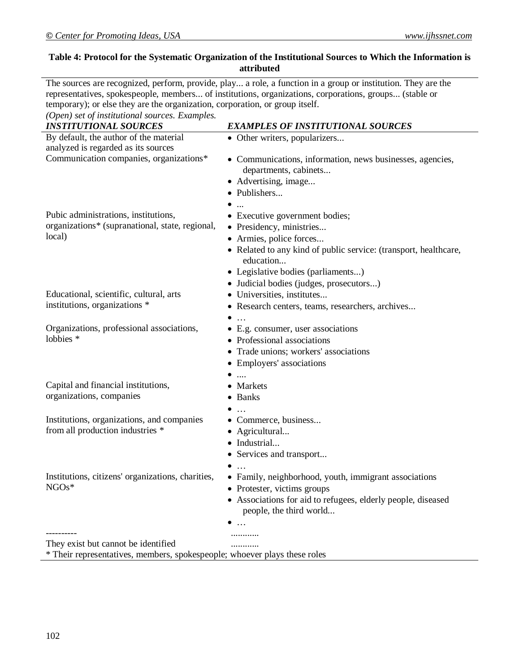## **Table 4: Protocol for the Systematic Organization of the Institutional Sources to Which the Information is attributed**

The sources are recognized, perform, provide, play... a role, a function in a group or institution. They are the representatives, spokespeople, members... of institutions, organizations, corporations, groups... (stable or temporary); or else they are the organization, corporation, or group itself.

*(Open) set of institutional sources. Examples.*

| <b>INSTITUTIONAL SOURCES</b>                                              | <b>EXAMPLES OF INSTITUTIONAL SOURCES</b>                         |  |  |  |
|---------------------------------------------------------------------------|------------------------------------------------------------------|--|--|--|
| By default, the author of the material                                    | • Other writers, popularizers                                    |  |  |  |
| analyzed is regarded as its sources                                       |                                                                  |  |  |  |
| Communication companies, organizations*                                   | • Communications, information, news businesses, agencies,        |  |  |  |
|                                                                           | departments, cabinets                                            |  |  |  |
|                                                                           | • Advertising, image                                             |  |  |  |
|                                                                           | · Publishers                                                     |  |  |  |
|                                                                           |                                                                  |  |  |  |
| Pubic administrations, institutions,                                      | • Executive government bodies;                                   |  |  |  |
| organizations* (supranational, state, regional,                           | • Presidency, ministries                                         |  |  |  |
| local)                                                                    | • Armies, police forces                                          |  |  |  |
|                                                                           | • Related to any kind of public service: (transport, healthcare, |  |  |  |
|                                                                           | education                                                        |  |  |  |
|                                                                           | • Legislative bodies (parliaments)                               |  |  |  |
|                                                                           | · Judicial bodies (judges, prosecutors)                          |  |  |  |
| Educational, scientific, cultural, arts                                   | • Universities, institutes                                       |  |  |  |
| institutions, organizations *                                             | · Research centers, teams, researchers, archives                 |  |  |  |
|                                                                           | $\ddotsc$                                                        |  |  |  |
| Organizations, professional associations,                                 | • E.g. consumer, user associations                               |  |  |  |
| lobbies *                                                                 | • Professional associations                                      |  |  |  |
|                                                                           | • Trade unions; workers' associations                            |  |  |  |
|                                                                           | • Employers' associations                                        |  |  |  |
|                                                                           | $\overline{a}$                                                   |  |  |  |
| Capital and financial institutions,                                       | • Markets                                                        |  |  |  |
| organizations, companies                                                  | • Banks                                                          |  |  |  |
|                                                                           | $\dddotsc$                                                       |  |  |  |
| Institutions, organizations, and companies                                | • Commerce, business                                             |  |  |  |
| from all production industries *                                          | • Agricultural                                                   |  |  |  |
|                                                                           | · Industrial                                                     |  |  |  |
|                                                                           | • Services and transport                                         |  |  |  |
|                                                                           | $\bullet$<br>$\cdot$                                             |  |  |  |
| Institutions, citizens' organizations, charities,                         | • Family, neighborhood, youth, immigrant associations            |  |  |  |
| $NGOs*$                                                                   | • Protester, victims groups                                      |  |  |  |
|                                                                           | • Associations for aid to refugees, elderly people, diseased     |  |  |  |
|                                                                           |                                                                  |  |  |  |
|                                                                           | people, the third world                                          |  |  |  |
|                                                                           | $\bullet$                                                        |  |  |  |
| They exist but cannot be identified                                       |                                                                  |  |  |  |
| * Their representatives, members, spokespeople; whoever plays these roles |                                                                  |  |  |  |
|                                                                           |                                                                  |  |  |  |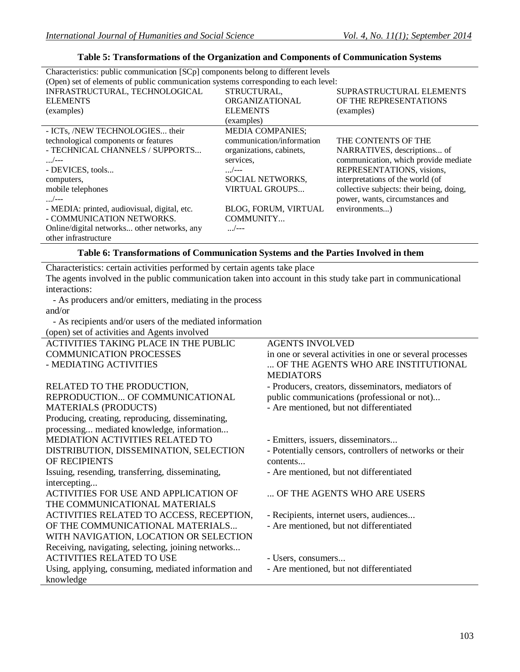| Characteristics: public communication [SCp] components belong to different levels   |                           |                                          |  |  |  |
|-------------------------------------------------------------------------------------|---------------------------|------------------------------------------|--|--|--|
| (Open) set of elements of public communication systems corresponding to each level: |                           |                                          |  |  |  |
| INFRASTRUCTURAL, TECHNOLOGICAL                                                      | STRUCTURAL,               | SUPRASTRUCTURAL ELEMENTS                 |  |  |  |
| <b>ELEMENTS</b>                                                                     | ORGANIZATIONAL            | OF THE REPRESENTATIONS                   |  |  |  |
| (examples)                                                                          | <b>ELEMENTS</b>           | (examples)                               |  |  |  |
|                                                                                     | (examples)                |                                          |  |  |  |
| - ICTs, /NEW TECHNOLOGIES their                                                     | <b>MEDIA COMPANIES;</b>   |                                          |  |  |  |
| technological components or features                                                | communication/information | THE CONTENTS OF THE                      |  |  |  |
| - TECHNICAL CHANNELS / SUPPORTS                                                     | organizations, cabinets,  | NARRATIVES, descriptions of              |  |  |  |
| $\frac{1}{2}$                                                                       | services.                 | communication, which provide mediate     |  |  |  |
| - DEVICES, tools                                                                    | $\frac{1}{2}$             | REPRESENTATIONS, visions,                |  |  |  |
| computers,                                                                          | SOCIAL NETWORKS,          | interpretations of the world (of         |  |  |  |
| mobile telephones                                                                   | <b>VIRTUAL GROUPS</b>     | collective subjects: their being, doing, |  |  |  |
| $\frac{1}{2}$                                                                       |                           | power, wants, circumstances and          |  |  |  |
| - MEDIA: printed, audiovisual, digital, etc.                                        | BLOG, FORUM, VIRTUAL      | environments)                            |  |  |  |
| - COMMUNICATION NETWORKS.                                                           | COMMUNITY                 |                                          |  |  |  |
| Online/digital networks other networks, any                                         | /---                      |                                          |  |  |  |
| other infrastructure                                                                |                           |                                          |  |  |  |

### **Table 5: Transformations of the Organization and Components of Communication Systems**

### **Table 6: Transformations of Communication Systems and the Parties Involved in them**

Characteristics: certain activities performed by certain agents take place

The agents involved in the public communication taken into account in this study take part in communicational interactions:

 - As producers and/or emitters, mediating in the process and/or

 - As recipients and/or users of the mediated information (open) set of activities and Agents involved

| (open) set of activities and Agents involved         |                                                          |
|------------------------------------------------------|----------------------------------------------------------|
| ACTIVITIES TAKING PLACE IN THE PUBLIC                | <b>AGENTS INVOLVED</b>                                   |
| <b>COMMUNICATION PROCESSES</b>                       | in one or several activities in one or several processes |
| - MEDIATING ACTIVITIES                               | OF THE AGENTS WHO ARE INSTITUTIONAL                      |
|                                                      | <b>MEDIATORS</b>                                         |
| RELATED TO THE PRODUCTION,                           | - Producers, creators, disseminators, mediators of       |
| REPRODUCTION OF COMMUNICATIONAL                      | public communications (professional or not)              |
| <b>MATERIALS (PRODUCTS)</b>                          | - Are mentioned, but not differentiated                  |
| Producing, creating, reproducing, disseminating,     |                                                          |
| processing mediated knowledge, information           |                                                          |
| <b>MEDIATION ACTIVITIES RELATED TO</b>               | - Emitters, issuers, disseminators                       |
| DISTRIBUTION, DISSEMINATION, SELECTION               | - Potentially censors, controllers of networks or their  |
| OF RECIPIENTS                                        | contents                                                 |
| Issuing, resending, transferring, disseminating,     | - Are mentioned, but not differentiated                  |
| intercepting                                         |                                                          |
| ACTIVITIES FOR USE AND APPLICATION OF                | OF THE AGENTS WHO ARE USERS                              |
| THE COMMUNICATIONAL MATERIALS                        |                                                          |
| ACTIVITIES RELATED TO ACCESS, RECEPTION,             | - Recipients, internet users, audiences                  |
| OF THE COMMUNICATIONAL MATERIALS                     | - Are mentioned, but not differentiated                  |
| WITH NAVIGATION, LOCATION OR SELECTION               |                                                          |
| Receiving, navigating, selecting, joining networks   |                                                          |
| <b>ACTIVITIES RELATED TO USE</b>                     | - Users, consumers                                       |
| Using, applying, consuming, mediated information and | - Are mentioned, but not differentiated                  |
| knowledge                                            |                                                          |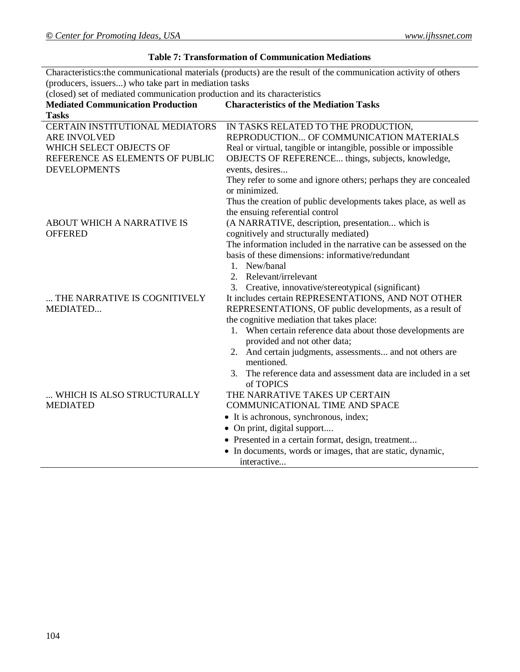## **Table 7: Transformation of Communication Mediations**

Characteristics:the communicational materials (products) are the result of the communication activity of others (producers, issuers...) who take part in mediation tasks

(closed) set of mediated communication production and its characteristics

| <b>Mediated Communication Production</b>                                                                                                                    | <b>Characteristics of the Mediation Tasks</b>                                                                                                                                                                                                                                                                                                                                                                                                  |
|-------------------------------------------------------------------------------------------------------------------------------------------------------------|------------------------------------------------------------------------------------------------------------------------------------------------------------------------------------------------------------------------------------------------------------------------------------------------------------------------------------------------------------------------------------------------------------------------------------------------|
| <b>Tasks</b><br>CERTAIN INSTITUTIONAL MEDIATORS<br><b>ARE INVOLVED</b><br>WHICH SELECT OBJECTS OF<br>REFERENCE AS ELEMENTS OF PUBLIC<br><b>DEVELOPMENTS</b> | IN TASKS RELATED TO THE PRODUCTION,<br>REPRODUCTION OF COMMUNICATION MATERIALS<br>Real or virtual, tangible or intangible, possible or impossible<br>OBJECTS OF REFERENCE things, subjects, knowledge,<br>events, desires<br>They refer to some and ignore others; perhaps they are concealed                                                                                                                                                  |
| ABOUT WHICH A NARRATIVE IS<br><b>OFFERED</b>                                                                                                                | or minimized.<br>Thus the creation of public developments takes place, as well as<br>the ensuing referential control<br>(A NARRATIVE, description, presentation which is<br>cognitively and structurally mediated)<br>The information included in the narrative can be assessed on the<br>basis of these dimensions: informative/redundant<br>1. New/banal                                                                                     |
| THE NARRATIVE IS COGNITIVELY<br>MEDIATED                                                                                                                    | Relevant/irrelevant<br>2.<br>3. Creative, innovative/stereotypical (significant)<br>It includes certain REPRESENTATIONS, AND NOT OTHER<br>REPRESENTATIONS, OF public developments, as a result of<br>the cognitive mediation that takes place:<br>1. When certain reference data about those developments are<br>provided and not other data;                                                                                                  |
| WHICH IS ALSO STRUCTURALLY<br><b>MEDIATED</b>                                                                                                               | 2. And certain judgments, assessments and not others are<br>mentioned.<br>The reference data and assessment data are included in a set<br>$3_{-}$<br>of TOPICS<br>THE NARRATIVE TAKES UP CERTAIN<br>COMMUNICATIONAL TIME AND SPACE<br>• It is achronous, synchronous, index;<br>• On print, digital support<br>• Presented in a certain format, design, treatment<br>• In documents, words or images, that are static, dynamic,<br>interactive |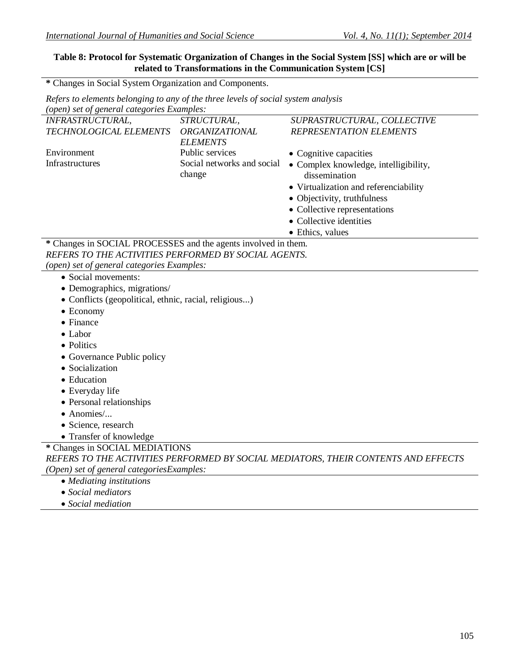## **Table 8: Protocol for Systematic Organization of Changes in the Social System [SS] which are or will be related to Transformations in the Communication System [CS]**

**\*** Changes in Social System Organization and Components.

*Refers to elements belonging to any of the three levels of social system analysis*

| (open) set of general categories Examples:                     |                            |                                                                                    |
|----------------------------------------------------------------|----------------------------|------------------------------------------------------------------------------------|
| <b>INFRASTRUCTURAL,</b>                                        | STRUCTURAL,                | SUPRASTRUCTURAL, COLLECTIVE                                                        |
| TECHNOLOGICAL ELEMENTS                                         | <b>ORGANIZATIONAL</b>      | <b>REPRESENTATION ELEMENTS</b>                                                     |
|                                                                | <b>ELEMENTS</b>            |                                                                                    |
| Environment                                                    | Public services            | • Cognitive capacities                                                             |
| Infrastructures                                                | Social networks and social | • Complex knowledge, intelligibility,                                              |
|                                                                | change                     | dissemination                                                                      |
|                                                                |                            | • Virtualization and referenciability                                              |
|                                                                |                            | • Objectivity, truthfulness                                                        |
|                                                                |                            | • Collective representations                                                       |
|                                                                |                            | • Collective identities                                                            |
|                                                                |                            | • Ethics, values                                                                   |
| * Changes in SOCIAL PROCESSES and the agents involved in them. |                            |                                                                                    |
| REFERS TO THE ACTIVITIES PERFORMED BY SOCIAL AGENTS.           |                            |                                                                                    |
| (open) set of general categories Examples:                     |                            |                                                                                    |
| · Social movements:                                            |                            |                                                                                    |
| • Demographics, migrations/                                    |                            |                                                                                    |
| · Conflicts (geopolitical, ethnic, racial, religious)          |                            |                                                                                    |
| $\bullet$ Economy                                              |                            |                                                                                    |
| $\bullet$ Finance                                              |                            |                                                                                    |
| • Labor                                                        |                            |                                                                                    |
| • Politics                                                     |                            |                                                                                    |
| • Governance Public policy                                     |                            |                                                                                    |
| • Socialization                                                |                            |                                                                                    |
| • Education                                                    |                            |                                                                                    |
| • Everyday life                                                |                            |                                                                                    |
| • Personal relationships                                       |                            |                                                                                    |
| $\bullet$ Anomies/                                             |                            |                                                                                    |
| · Science, research                                            |                            |                                                                                    |
| • Transfer of knowledge                                        |                            |                                                                                    |
| * Changes in SOCIAL MEDIATIONS                                 |                            |                                                                                    |
|                                                                |                            | REFERS TO THE ACTIVITIES PERFORMED BY SOCIAL MEDIATORS, THEIR CONTENTS AND EFFECTS |
| (Open) set of general categoriesExamples:                      |                            |                                                                                    |
| • Mediating institutions                                       |                            |                                                                                    |
| • Social mediators                                             |                            |                                                                                    |
| • Social mediation                                             |                            |                                                                                    |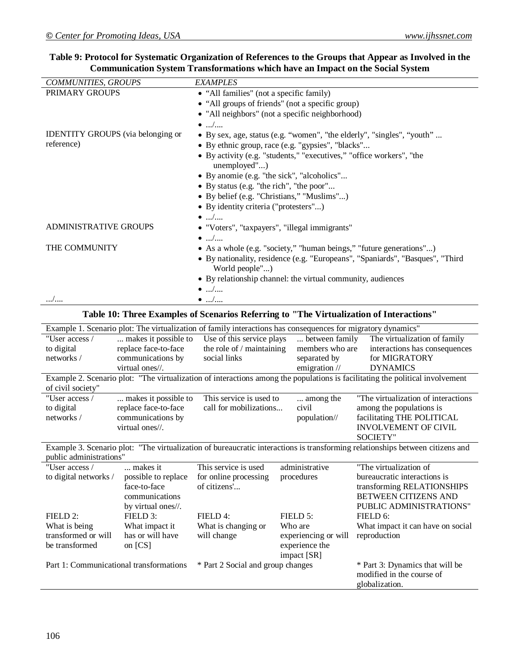| COMMUNITIES, GROUPS                                                                                                                                                                  |                                                                                         | <b>EXAMPLES</b>                                                                                              |                               |                                                                               |  |
|--------------------------------------------------------------------------------------------------------------------------------------------------------------------------------------|-----------------------------------------------------------------------------------------|--------------------------------------------------------------------------------------------------------------|-------------------------------|-------------------------------------------------------------------------------|--|
| PRIMARY GROUPS                                                                                                                                                                       |                                                                                         | • "All families" (not a specific family)                                                                     |                               |                                                                               |  |
|                                                                                                                                                                                      |                                                                                         | • "All groups of friends" (not a specific group)                                                             |                               |                                                                               |  |
|                                                                                                                                                                                      |                                                                                         | • "All neighbors" (not a specific neighborhood)                                                              |                               |                                                                               |  |
|                                                                                                                                                                                      | $\bullet$ /                                                                             |                                                                                                              |                               |                                                                               |  |
| <b>IDENTITY GROUPS</b> (via belonging or                                                                                                                                             |                                                                                         |                                                                                                              |                               | • By sex, age, status (e.g. "women", "the elderly", "singles", "youth"        |  |
| reference)                                                                                                                                                                           |                                                                                         | • By ethnic group, race (e.g. "gypsies", "blacks"                                                            |                               |                                                                               |  |
|                                                                                                                                                                                      | • By activity (e.g. "students," "executives," "office workers", "the<br>unemployed")    |                                                                                                              |                               |                                                                               |  |
|                                                                                                                                                                                      |                                                                                         | • By anomie (e.g. "the sick", "alcoholics"                                                                   |                               |                                                                               |  |
|                                                                                                                                                                                      |                                                                                         | • By status (e.g. "the rich", "the poor"                                                                     |                               |                                                                               |  |
|                                                                                                                                                                                      |                                                                                         | · By belief (e.g. "Christians," "Muslims")                                                                   |                               |                                                                               |  |
| • By identity criteria ("protesters")                                                                                                                                                |                                                                                         |                                                                                                              |                               |                                                                               |  |
|                                                                                                                                                                                      |                                                                                         | $\bullet$ /                                                                                                  |                               |                                                                               |  |
| <b>ADMINISTRATIVE GROUPS</b>                                                                                                                                                         |                                                                                         | • "Voters", "taxpayers", "illegal immigrants"                                                                |                               |                                                                               |  |
|                                                                                                                                                                                      |                                                                                         | $\bullet$ /                                                                                                  |                               |                                                                               |  |
| THE COMMUNITY                                                                                                                                                                        |                                                                                         |                                                                                                              |                               | • As a whole (e.g. "society," "human beings," "future generations")           |  |
|                                                                                                                                                                                      |                                                                                         |                                                                                                              |                               | • By nationality, residence (e.g. "Europeans", "Spaniards", "Basques", "Third |  |
|                                                                                                                                                                                      |                                                                                         | World people")                                                                                               |                               |                                                                               |  |
|                                                                                                                                                                                      | • By relationship channel: the virtual community, audiences                             |                                                                                                              |                               |                                                                               |  |
| $\bullet$ /                                                                                                                                                                          |                                                                                         |                                                                                                              |                               |                                                                               |  |
| /                                                                                                                                                                                    |                                                                                         | $\bullet$ /                                                                                                  |                               |                                                                               |  |
|                                                                                                                                                                                      | Table 10: Three Examples of Scenarios Referring to "The Virtualization of Interactions" |                                                                                                              |                               |                                                                               |  |
|                                                                                                                                                                                      |                                                                                         | Example 1. Scenario plot: The virtualization of family interactions has consequences for migratory dynamics" |                               |                                                                               |  |
| "User access /                                                                                                                                                                       | makes it possible to                                                                    | Use of this service plays                                                                                    | between family                | The virtualization of family                                                  |  |
| to digital                                                                                                                                                                           | replace face-to-face                                                                    | the role of / maintaining                                                                                    | members who are               | interactions has consequences                                                 |  |
| networks /                                                                                                                                                                           | communications by                                                                       | social links                                                                                                 | separated by                  | for MIGRATORY                                                                 |  |
| virtual ones//.<br>emigration //<br><b>DYNAMICS</b><br>Example 2. Scenario plot: "The virtualization of interactions among the populations is facilitating the political involvement |                                                                                         |                                                                                                              |                               |                                                                               |  |
| of civil society"                                                                                                                                                                    |                                                                                         |                                                                                                              |                               |                                                                               |  |
| "User access /                                                                                                                                                                       | makes it possible to                                                                    | This service is used to                                                                                      | among the                     | "The virtualization of interactions                                           |  |
| to digital                                                                                                                                                                           | replace face-to-face                                                                    | call for mobilizations                                                                                       | civil                         | among the populations is                                                      |  |
| networks /                                                                                                                                                                           | communications by                                                                       |                                                                                                              | population//                  | facilitating THE POLITICAL                                                    |  |
|                                                                                                                                                                                      | virtual ones//.                                                                         |                                                                                                              |                               | <b>INVOLVEMENT OF CIVIL</b>                                                   |  |
|                                                                                                                                                                                      |                                                                                         |                                                                                                              |                               | <b>SOCIETY"</b>                                                               |  |
| Example 3. Scenario plot: "The virtualization of bureaucratic interactions is transforming relationships between citizens and<br>public administrations                              |                                                                                         |                                                                                                              |                               |                                                                               |  |
| "User access /                                                                                                                                                                       | makes it                                                                                | This service is used                                                                                         | administrative                | "The virtualization of                                                        |  |
| to digital networks /                                                                                                                                                                | possible to replace                                                                     | for online processing                                                                                        | procedures                    | bureaucratic interactions is                                                  |  |
|                                                                                                                                                                                      | face-to-face                                                                            | of citizens'                                                                                                 |                               | transforming RELATIONSHIPS                                                    |  |
|                                                                                                                                                                                      | communications                                                                          |                                                                                                              |                               | BETWEEN CITIZENS AND                                                          |  |
|                                                                                                                                                                                      | by virtual ones//.                                                                      |                                                                                                              |                               | PUBLIC ADMINISTRATIONS"                                                       |  |
| FIELD 2:                                                                                                                                                                             | FIELD 3:                                                                                | FIELD 4:                                                                                                     | FIELD 5:                      | FIELD 6:                                                                      |  |
| What is being                                                                                                                                                                        | What impact it                                                                          | What is changing or                                                                                          | Who are                       | What impact it can have on social                                             |  |
| transformed or will                                                                                                                                                                  | has or will have                                                                        | will change                                                                                                  | experiencing or will          | reproduction                                                                  |  |
| be transformed                                                                                                                                                                       | on [CS]                                                                                 |                                                                                                              | experience the<br>impact [SR] |                                                                               |  |
| Part 1: Communicational transformations                                                                                                                                              |                                                                                         | * Part 2 Social and group changes                                                                            |                               | * Part 3: Dynamics that will be                                               |  |
|                                                                                                                                                                                      |                                                                                         |                                                                                                              |                               | modified in the course of                                                     |  |
|                                                                                                                                                                                      |                                                                                         |                                                                                                              |                               | globalization.                                                                |  |
|                                                                                                                                                                                      |                                                                                         |                                                                                                              |                               |                                                                               |  |

#### **Table 9: Protocol for Systematic Organization of References to the Groups that Appear as Involved in the Communication System Transformations which have an Impact on the Social System**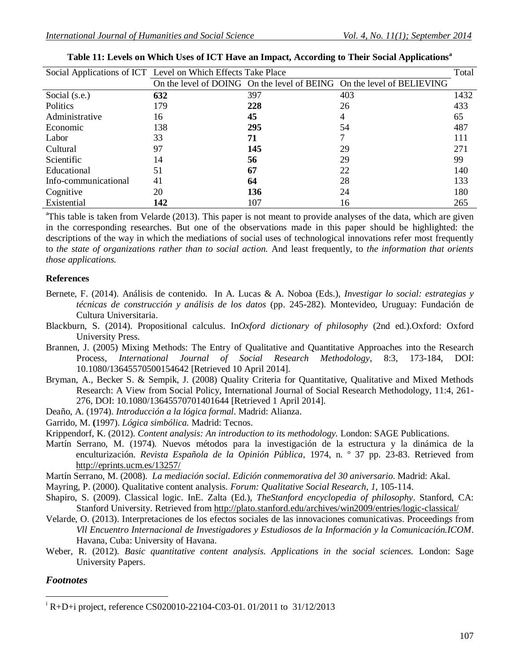|                      | Social Applications of ICT Level on Which Effects Take Place |     |                                                                       | Total |
|----------------------|--------------------------------------------------------------|-----|-----------------------------------------------------------------------|-------|
|                      |                                                              |     | On the level of DOING On the level of BEING On the level of BELIEVING |       |
| Social (s.e.)        | 632                                                          | 397 | 403                                                                   | 1432  |
| Politics             | 179                                                          | 228 | 26                                                                    | 433   |
| Administrative       | 16                                                           | 45  | 4                                                                     | 65    |
| Economic             | 138                                                          | 295 | 54                                                                    | 487   |
| Labor                | 33                                                           | 71  |                                                                       | 111   |
| Cultural             | 97                                                           | 145 | 29                                                                    | 271   |
| Scientific           | 14                                                           | 56  | 29                                                                    | 99    |
| Educational          | 51                                                           | 67  | 22                                                                    | 140   |
| Info-communicational | 41                                                           | 64  | 28                                                                    | 133   |
| Cognitive            | 20                                                           | 136 | 24                                                                    | 180   |
| Existential          | 142                                                          | 107 | 16                                                                    | 265   |

| Table 11: Levels on Which Uses of ICT Have an Impact, According to Their Social Applications <sup>a</sup> |  |  |
|-----------------------------------------------------------------------------------------------------------|--|--|
|-----------------------------------------------------------------------------------------------------------|--|--|

 $\textsuperscript{a}$ This table is taken from Velarde (2013). This paper is not meant to provide analyses of the data, which are given in the corresponding researches. But one of the observations made in this paper should be highlighted: the descriptions of the way in which the mediations of social uses of technological innovations refer most frequently to *the state of organizations rather than to social action.* And least frequently, to *the information that orients those applications.*

#### **References**

- Bernete, F. (2014). Análisis de contenido. In A. Lucas & A. Noboa (Eds.), *Investigar lo social: estrategias y técnicas de construcción y análisis de los datos* (pp. 245-282). Montevideo, Uruguay: Fundación de Cultura Universitaria.
- Blackburn, S. (2014). Propositional calculus. In*Oxford dictionary of philosophy* (2nd ed.).Oxford: Oxford University Press*.*
- Brannen, J. (2005) Mixing Methods: The Entry of Qualitative and Quantitative Approaches into the Research Process, *International Journal of Social Research Methodology*, 8:3, 173-184, DOI: 10.1080/13645570500154642 [Retrieved 10 April 2014].
- Bryman, A., Becker S. & Sempik, J. (2008) Quality Criteria for Quantitative, Qualitative and Mixed Methods Research: A View from Social Policy, International Journal of Social Research Methodology, 11:4, 261- 276, DOI: 10.1080/13645570701401644 [Retrieved 1 April 2014].
- Deaño, A. (1974). *Introducción a la lógica formal*. Madrid: Alianza.
- Garrido, M. **(**1997). *Lógica simbólica.* Madrid: Tecnos.
- Krippendorf, K. (2012). *Content analysis: An introduction to its methodology.* London: SAGE Publications.
- Martín Serrano, M. (1974). Nuevos métodos para la investigación de la estructura y la dinámica de la enculturización. *Revista Española de la Opinión Pública*, 1974, n. º 37 pp. 23-83. Retrieved from http://eprints.ucm.es/13257/
- Martín Serrano, M. (2008). *La mediación social. Edición conmemorativa del 30 aniversario*. Madrid: Akal.
- Mayring, P. (2000). Qualitative content analysis. *Forum: Qualitative Social Research*, *1*, 105-114.
- Shapiro, S. (2009). Classical logic. InE. Zalta (Ed.), *TheStanford encyclopedia of philosophy*. Stanford, CA: Stanford University. Retrieved from http://plato.stanford.edu/archives/win2009/entries/logic-classical/
- Velarde, O. (2013). Interpretaciones de los efectos sociales de las innovaciones comunicativas. Proceedings from *Vll Encuentro Internacional de Investigadores y Estudiosos de la Información y la Comunicación.ICOM*. Havana, Cuba: University of Havana.
- Weber, R. (2012). *Basic quantitative content analysis. Applications in the social sciences.* London: Sage University Papers.

#### *Footnotes*

 $\overline{a}$  $I^{\text{R}}$  R+D+i project, reference CS020010-22104-C03-01. 01/2011 to 31/12/2013